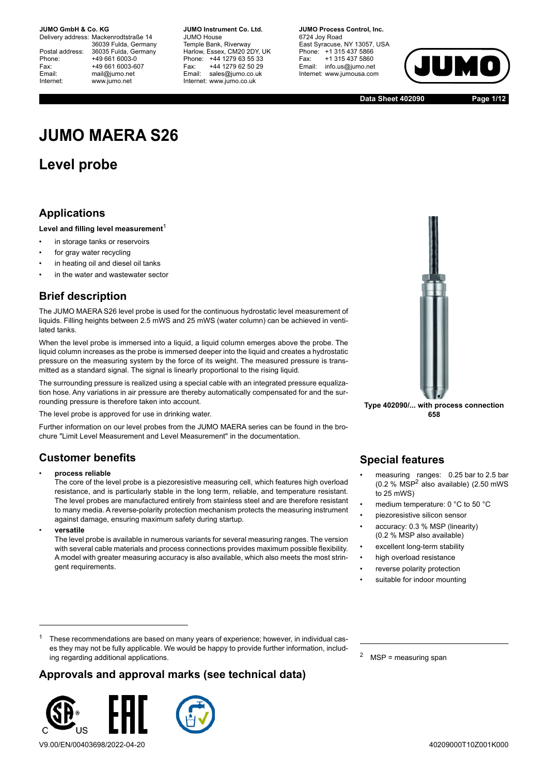Delivery address: Mackenrodtstraße 14 36039 Fulda, Germany Postal address: 36035 Fulda, Germany Phone: +49 661 6003-0 Fax: +49 661 6003-607 Email: mail@jumo.net Internet: www.jumo.net

**JUMO Instrument Co. Ltd.** JUMO House Temple Bank, Riverway Harlow, Essex, CM20 2DY, UK Phone: +44 1279 63 55 33 Fax: +44 1279 62 50 29 Email: sales@jumo.co.uk Internet: www.jumo.co.uk

**JUMO Process Control, Inc.** 6724 Joy Road East Syracuse, NY 13057, USA Phone: +1 315 437 5866 Fax: +1 315 437 5860 Email: info.us@jumo.net Internet: www.jumousa.com



**Data Sheet 402090 Page 1/12**

# **JUMO MAERA S26**

## **Level probe**

### **Applications**

#### Level and filling level measurement<sup>1</sup>

- in storage tanks or reservoirs
- for gray water recycling
- in heating oil and diesel oil tanks
- in the water and wastewater sector

### **Brief description**

The JUMO MAERA S26 level probe is used for the continuous hydrostatic level measurement of liquids. Filling heights between 2.5 mWS and 25 mWS (water column) can be achieved in ventilated tanks.

When the level probe is immersed into a liquid, a liquid column emerges above the probe. The liquid column increases as the probe is immersed deeper into the liquid and creates a hydrostatic pressure on the measuring system by the force of its weight. The measured pressure is transmitted as a standard signal. The signal is linearly proportional to the rising liquid.

The surrounding pressure is realized using a special cable with an integrated pressure equalization hose. Any variations in air pressure are thereby automatically compensated for and the surrounding pressure is therefore taken into account.

The level probe is approved for use in drinking water.

Further information on our level probes from the JUMO MAERA series can be found in the brochure "Limit Level Measurement and Level Measurement" in the documentation.

### **Customer benefits**

#### • **process reliable**

The core of the level probe is a piezoresistive measuring cell, which features high overload resistance, and is particularly stable in the long term, reliable, and temperature resistant. The level probes are manufactured entirely from stainless steel and are therefore resistant to many media. A reverse-polarity protection mechanism protects the measuring instrument against damage, ensuring maximum safety during startup.

• **versatile**

The level probe is available in numerous variants for several measuring ranges. The version with several cable materials and process connections provides maximum possible flexibility. A model with greater measuring accuracy is also available, which also meets the most stringent requirements.



**Type 402090/... with process connection 658**

### **Special features**

- measuring ranges: 0.25 bar to 2.5 bar (0.2 % MSP2 also available) (2.50 mWS to 25 mWS)
- medium temperature: 0 °C to 50 °C
- piezoresistive silicon sensor
- accuracy: 0.3 % MSP (linearity) (0.2 % MSP also available)
- excellent long-term stability
- high overload resistance reverse polarity protection
- suitable for indoor mounting

<sup>1</sup> These recommendations are based on many years of experience; however, in individual cases they may not be fully applicable. We would be happy to provide further information, including regarding additional applications.

### **Approvals and approval marks (see technical data)**



V9.00/EN/00403698/2022-04-20

<sup>2</sup> MSP = measuring span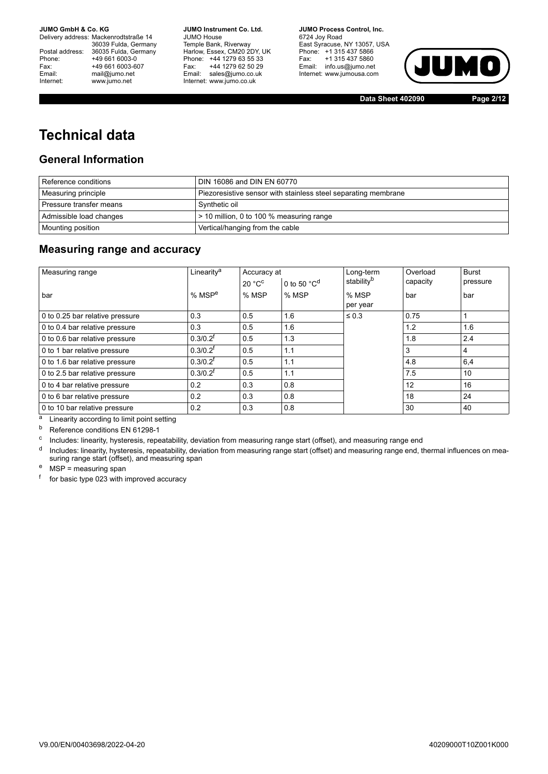36039 Fulda, Germany Postal address: 36035 Fulda, Germany Phone: +49 661 6003-0<br>
Fax: +49 661 6003-6<br>
Email: mail@jumo.net Internet: www.jumo.net

Delivery address: Mackenrodtstraße 14 +49 661 6003-607 mail@jumo.net

**JUMO Instrument Co. Ltd.** JUMO House Temple Bank, Riverway Harlow, Essex, CM20 2DY, UK Phone: +44 1279 63 55 33 Fax: +44 1279 62 50 29 Email: sales@jumo.co.uk Internet: www.jumo.co.uk

**JUMO Process Control, Inc.** 6724 Joy Road East Syracuse, NY 13057, USA Phone: +1 315 437 5866 Fax: +1 315 437 5860 Email: info.us@jumo.net Internet: www.jumousa.com



**Data Sheet 402090 Page 2/12**

## **Technical data**

### **General Information**

| Reference conditions    | DIN 16086 and DIN EN 60770                                     |
|-------------------------|----------------------------------------------------------------|
| Measuring principle     | Piezoresistive sensor with stainless steel separating membrane |
| Pressure transfer means | Synthetic oil                                                  |
| Admissible load changes | $\approx$ 10 million, 0 to 100 % measuring range               |
| Mounting position       | Vertical/hanging from the cable                                |

### **Measuring range and accuracy**

| Measuring range                 | Linearity <sup>a</sup> | Accuracy at |                                   | Long-term              | Overload | <b>Burst</b> |
|---------------------------------|------------------------|-------------|-----------------------------------|------------------------|----------|--------------|
|                                 |                        | 20 °C       | 0 to 50 $^{\circ}$ C <sup>d</sup> | stability <sup>b</sup> | capacity | pressure     |
| bar                             | $%$ MSP <sup>e</sup>   | % MSP       | % MSP                             | % MSP<br>per year      | bar      | bar          |
| 0 to 0.25 bar relative pressure | 0.3                    | 0.5         | 1.6                               | $\leq 0.3$             | 0.75     |              |
| 0 to 0.4 bar relative pressure  | 0.3                    | 0.5         | 1.6                               |                        | 1.2      | 1.6          |
| 0 to 0.6 bar relative pressure  | $0.3/0.2$ <sup>f</sup> | 0.5         | 1.3                               |                        | 1.8      | 2.4          |
| 0 to 1 bar relative pressure    | $0.3/0.2$ <sup>t</sup> | 0.5         | 1.1                               |                        | 3        | 4            |
| 0 to 1.6 bar relative pressure  | $0.3/0.2$ <sup>t</sup> | 0.5         | 1.1                               |                        | 4.8      | 6,4          |
| 0 to 2.5 bar relative pressure  | $0.3/0.2^{f}$          | 0.5         | 1.1                               |                        | 7.5      | 10           |
| 0 to 4 bar relative pressure    | 0.2                    | 0.3         | 0.8                               |                        | 12       | 16           |
| 0 to 6 bar relative pressure    | 0.2                    | 0.3         | 0.8                               |                        | 18       | 24           |
| 0 to 10 bar relative pressure   | 0.2                    | 0.3         | 0.8                               |                        | 30       | 40           |

 $\frac{a}{b}$  Linearity according to limit point setting<br>  $\frac{b}{c}$  Reference conditions FN 61298-1

Reference conditions EN 61298-1

<sup>c</sup> Includes: linearity, hysteresis, repeatability, deviation from measuring range start (offset), and measuring range end

<sup>d</sup> Includes: linearity, hysteresis, repeatability, deviation from measuring range start (offset) and measuring range end, thermal influences on measuring range start (offset), and measuring span

<sup>e</sup> MSP = measuring span

<sup>f</sup> for basic type 023 with improved accuracy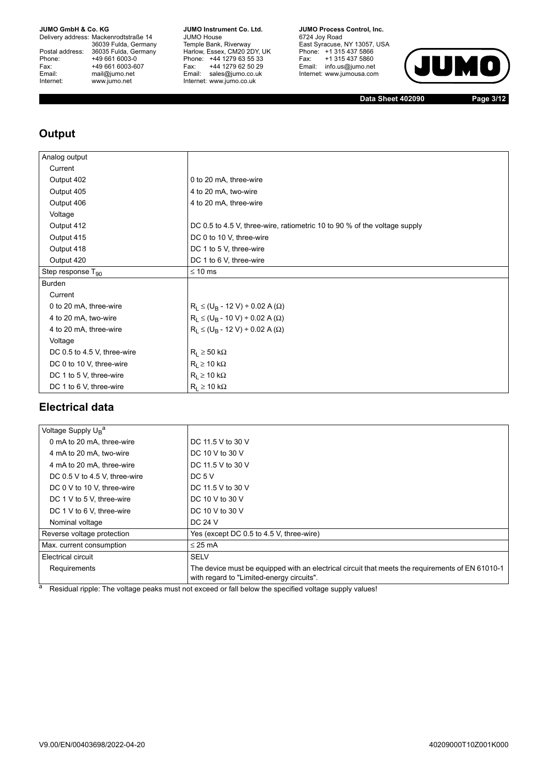Delivery address: Mackenrodtstraße 14 36039 Fulda, Germany Postal address: 36035 Fulda, Germany Phone: +49 661 6003-0<br>
Fax: +49 661 6003-6<br>
Email: mail@jumo.net +49 661 6003-607 mail@jumo.net Internet: www.jumo.net

**JUMO Instrument Co. Ltd.** JUMO House Temple Bank, Riverway Harlow, Essex, CM20 2DY, UK Phone: +44 1279 63 55 33 Fax: +44 1279 62 50 29 Email: sales@jumo.co.uk Internet: www.jumo.co.uk

**JUMO Process Control, Inc.** 6724 Joy Road East Syracuse, NY 13057, USA Phone: +1 315 437 5866 Fax: +1 315 437 5860

Email: info.us@jumo.net Internet: www.jumousa.com JUM  $\bullet$ 

**Data Sheet 402090 Page 3/12**

### **Output**

| Analog output               |                                                                           |
|-----------------------------|---------------------------------------------------------------------------|
| Current                     |                                                                           |
| Output 402                  | 0 to 20 mA, three-wire                                                    |
| Output 405                  | 4 to 20 mA, two-wire                                                      |
| Output 406                  | 4 to 20 mA, three-wire                                                    |
| Voltage                     |                                                                           |
| Output 412                  | DC 0.5 to 4.5 V, three-wire, ratiometric 10 to 90 % of the voltage supply |
| Output 415                  | DC 0 to 10 V, three-wire                                                  |
| Output 418                  | DC 1 to 5 V, three-wire                                                   |
| Output 420                  | DC 1 to 6 V, three-wire                                                   |
| Step response $T_{90}$      | $\leq 10$ ms                                                              |
| Burden                      |                                                                           |
| Current                     |                                                                           |
| 0 to 20 mA, three-wire      | $R_L \le (U_B - 12 V) \div 0.02 A (\Omega)$                               |
| 4 to 20 mA, two-wire        | $R_L \le (U_B - 10 V) \div 0.02 A (\Omega)$                               |
| 4 to 20 mA, three-wire      | $R_1 \leq (U_B - 12 V) \div 0.02 A (\Omega)$                              |
| Voltage                     |                                                                           |
| DC 0.5 to 4.5 V, three-wire | $R_L \ge 50 \text{ k}\Omega$                                              |
| DC 0 to 10 V, three-wire    | $R_1 \ge 10 k\Omega$                                                      |
| DC 1 to 5 V, three-wire     | $R_L \ge 10 k\Omega$                                                      |
| DC 1 to 6 V, three-wire     | $R_L \ge 10 k\Omega$                                                      |

### **Electrical data**

| Voltage Supply U <sub>R</sub> <sup>a</sup> |                                                                                                                                               |
|--------------------------------------------|-----------------------------------------------------------------------------------------------------------------------------------------------|
| 0 mA to 20 mA, three-wire                  | DC 11.5 V to 30 V                                                                                                                             |
| 4 mA to 20 mA, two-wire                    | DC 10 V to 30 V                                                                                                                               |
| 4 mA to 20 mA, three-wire                  | DC 11.5 V to 30 V                                                                                                                             |
| DC 0.5 V to 4.5 V, three-wire              | DC $5V$                                                                                                                                       |
| DC 0 V to 10 V, three-wire                 | DC 11.5 V to 30 V                                                                                                                             |
| DC 1 V to 5 V, three-wire                  | DC 10 V to 30 V                                                                                                                               |
| DC 1 V to 6 V, three-wire                  | DC 10 V to 30 V                                                                                                                               |
| Nominal voltage                            | DC 24 V                                                                                                                                       |
| Reverse voltage protection                 | Yes (except DC 0.5 to 4.5 V, three-wire)                                                                                                      |
| Max. current consumption                   | $\leq$ 25 mA                                                                                                                                  |
| Electrical circuit                         | <b>SELV</b>                                                                                                                                   |
| Requirements                               | The device must be equipped with an electrical circuit that meets the requirements of EN 61010-1<br>with regard to "Limited-energy circuits". |

<sup>a</sup> Residual ripple: The voltage peaks must not exceed or fall below the specified voltage supply values!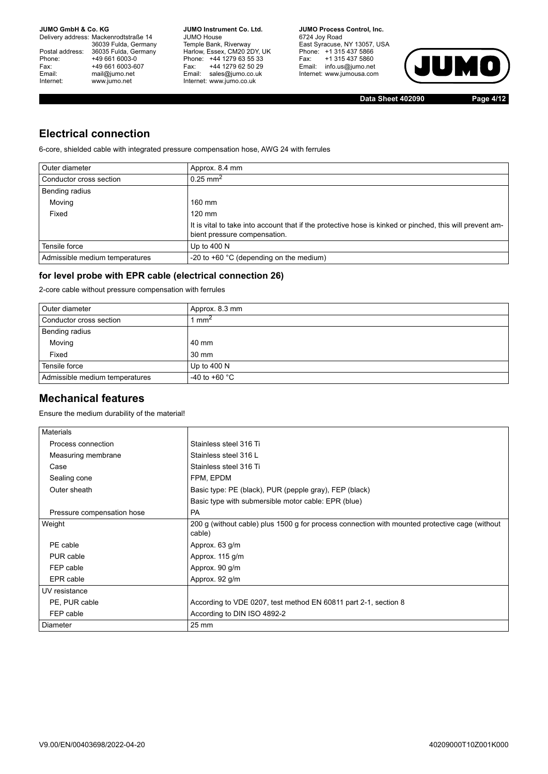Delivery address: Mackenrodtstraße 14 36039 Fulda, Germany Postal address: 36035 Fulda, Germany Phone: +49 661 6003-0<br>
Fax: +49 661 6003-6<br>
Email: mail@jumo.net +49 661 6003-607 mail@jumo.net Internet: www.jumo.net

**JUMO Instrument Co. Ltd.** JUMO House Temple Bank, Riverway Harlow, Essex, CM20 2DY, UK Phone: +44 1279 63 55 33 Fax: +44 1279 62 50 29 Email: sales@jumo.co.uk Internet: www.jumo.co.uk

**JUMO Process Control, Inc.** 6724 Joy Road East Syracuse, NY 13057, USA Phone: +1 315 437 5866 Fax: +1 315 437 5860 Email: info.us@jumo.net Internet: www.jumousa.com



**Data Sheet 402090 Page 4/12**

### **Electrical connection**

6-core, shielded cable with integrated pressure compensation hose, AWG 24 with ferrules

| Outer diameter                 | Approx. 8.4 mm                                                                                                                           |
|--------------------------------|------------------------------------------------------------------------------------------------------------------------------------------|
| Conductor cross section        | $0.25$ mm <sup>2</sup>                                                                                                                   |
| Bending radius                 |                                                                                                                                          |
| Moving                         | $160$ mm                                                                                                                                 |
| Fixed                          | $120 \text{ mm}$                                                                                                                         |
|                                | It is vital to take into account that if the protective hose is kinked or pinched, this will prevent am-<br>bient pressure compensation. |
| Tensile force                  | Up to $400 N$                                                                                                                            |
| Admissible medium temperatures | -20 to $+60$ °C (depending on the medium)                                                                                                |

### **for level probe with EPR cable (electrical connection 26)**

2-core cable without pressure compensation with ferrules

| Outer diameter                 | Approx. 8.3 mm          |
|--------------------------------|-------------------------|
| Conductor cross section        | mm <sup>2</sup>         |
| Bending radius                 |                         |
| Moving                         | 40 mm                   |
| Fixed                          | 30 mm                   |
| Tensile force                  | Up to $400 N$           |
| Admissible medium temperatures | -40 to +60 $^{\circ}$ C |

### **Mechanical features**

Ensure the medium durability of the material!

| <b>Materials</b>           |                                                                                                          |
|----------------------------|----------------------------------------------------------------------------------------------------------|
| Process connection         | Stainless steel 316 Ti                                                                                   |
| Measuring membrane         | Stainless steel 316 L                                                                                    |
| Case                       | Stainless steel 316 Ti                                                                                   |
| Sealing cone               | FPM, EPDM                                                                                                |
| Outer sheath               | Basic type: PE (black), PUR (pepple gray), FEP (black)                                                   |
|                            | Basic type with submersible motor cable: EPR (blue)                                                      |
| Pressure compensation hose | <b>PA</b>                                                                                                |
| Weight                     | 200 g (without cable) plus 1500 g for process connection with mounted protective cage (without<br>cable) |
| PE cable                   | Approx. 63 g/m                                                                                           |
| PUR cable                  | Approx. 115 g/m                                                                                          |
| FEP cable                  | Approx. 90 g/m                                                                                           |
| EPR cable                  | Approx. 92 g/m                                                                                           |
| UV resistance              |                                                                                                          |
| PE, PUR cable              | According to VDE 0207, test method EN 60811 part 2-1, section 8                                          |
| FEP cable                  | According to DIN ISO 4892-2                                                                              |
| <b>Diameter</b>            | $25 \text{ mm}$                                                                                          |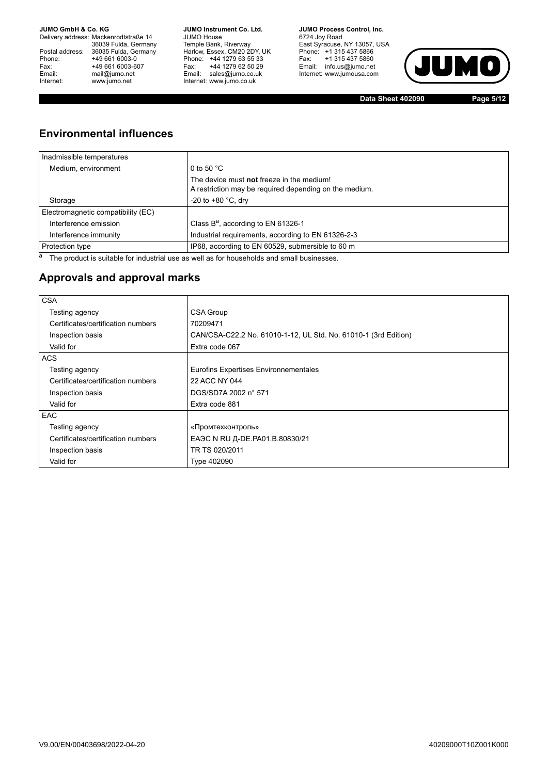Delivery address: Mackenrodtstraße 14 36039 Fulda, Germany Postal address: 36035 Fulda, Germany Phone: +49 661 6003-0<br>
Fax: +49 661 6003-6<br>
Email: mail@jumo.net +49 661 6003-607 mail@jumo.net Internet: www.jumo.net

**JUMO Instrument Co. Ltd.** JUMO House Temple Bank, Riverway Harlow, Essex, CM20 2DY, UK Phone: +44 1279 63 55 33 Fax: +44 1279 62 50 29 Email: sales@jumo.co.uk Internet: www.jumo.co.uk

**JUMO Process Control, Inc.** 6724 Joy Road East Syracuse, NY 13057, USA Phone: +1 315 437 5866 Fax: +1 315 437 5860 Email: info.us@jumo.net Internet: www.jumousa.com



**Data Sheet 402090 Page 5/12**

### **Environmental influences**

| Inadmissible temperatures          |                                                                                                     |
|------------------------------------|-----------------------------------------------------------------------------------------------------|
| Medium, environment                | 0 to 50 $^{\circ}$ C                                                                                |
|                                    | The device must not freeze in the medium!<br>A restriction may be required depending on the medium. |
| Storage                            | -20 to +80 $^{\circ}$ C, dry                                                                        |
| Electromagnetic compatibility (EC) |                                                                                                     |
| Interference emission              | Class B <sup>a</sup> , according to EN 61326-1                                                      |
| Interference immunity              | Industrial requirements, according to EN 61326-2-3                                                  |
| Protection type                    | IP68, according to EN 60529, submersible to 60 m                                                    |

 $a$  The product is suitable for industrial use as well as for households and small businesses.

### **Approvals and approval marks**

| <b>CSA</b>                         |                                                                 |
|------------------------------------|-----------------------------------------------------------------|
| Testing agency                     | CSA Group                                                       |
| Certificates/certification numbers | 70209471                                                        |
| Inspection basis                   | CAN/CSA-C22.2 No. 61010-1-12, UL Std. No. 61010-1 (3rd Edition) |
| Valid for                          | Extra code 067                                                  |
| <b>ACS</b>                         |                                                                 |
| Testing agency                     | Eurofins Expertises Environnementales                           |
| Certificates/certification numbers | 22 ACC NY 044                                                   |
| Inspection basis                   | DGS/SD7A 2002 n° 571                                            |
| Valid for                          | Extra code 881                                                  |
| <b>EAC</b>                         |                                                                 |
| Testing agency                     | «Промтехконтроль»                                               |
| Certificates/certification numbers | EAЭC N RU Д-DE.PA01.B.80830/21                                  |
| Inspection basis                   | TR TS 020/2011                                                  |
| Valid for                          | Type 402090                                                     |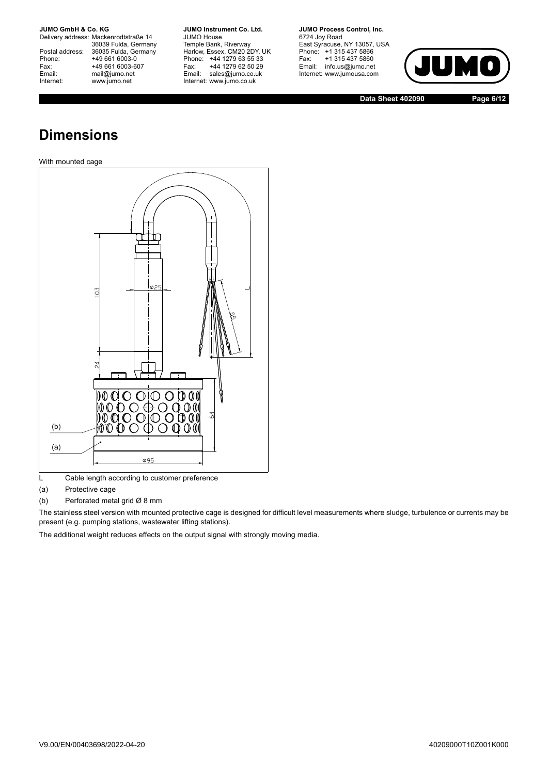Delivery address: Mackenrodtstraße 14 36039 Fulda, Germany Postal address: 36035 Fulda, Germany Postal address: 36035 Fulda, Ge<br>
Phone: +49 661 6003-0<br>
Fax: +49 661 6003-6<br>
Email: mail@jumo.net +49 661 6003-607 mail@jumo.net Internet: www.jumo.net

**JUMO Instrument Co. Ltd.** JUMO House Temple Bank, Riverway Harlow, Essex, CM20 2DY, UK Phone: +44 1279 63 55 33 Fax: +44 1279 62 50 29 Email: sales@jumo.co.uk Internet: www.jumo.co.uk

**JUMO Process Control, Inc.** 6724 Joy Road East Syracuse, NY 13057, USA Phone: +1 315 437 5866 Fax: +1 315 437 5860 Email: info.us@jumo.net Internet: www.jumousa.com



**Data Sheet 402090 Page 6/12**

## **Dimensions**

#### With mounted cage



L Cable length according to customer preference

(a) Protective cage

(b) Perforated metal grid  $\varnothing$  8 mm

The stainless steel version with mounted protective cage is designed for difficult level measurements where sludge, turbulence or currents may be present (e.g. pumping stations, wastewater lifting stations).

The additional weight reduces effects on the output signal with strongly moving media.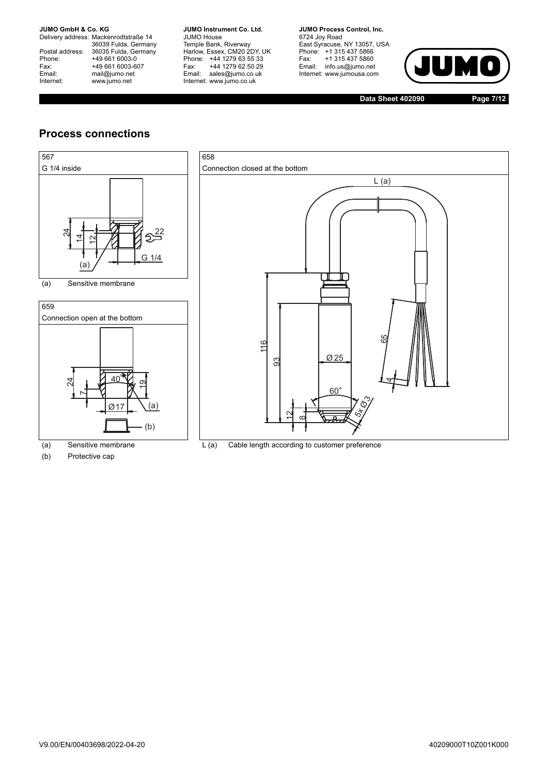Delivery address: Mackenrodtstraße 14 36039 Fulda, Germany Postal address: 36035 Fulda, Germany Postal address: 36035 Fulda, Ge<br>
Phone: +49 661 6003-0<br>
Fax: +49 661 6003-6<br>
Email: mail@jumo.net +49 661 6003-607 mail@jumo.net Internet: www.jumo.net

**JUMO Instrument Co. Ltd.** JUMO House Temple Bank, Riverway Harlow, Essex, CM20 2DY, UK Phone: +44 1279 63 55 33 Fax: +44 1279 62 50 29 Email: sales@jumo.co.uk Internet: www.jumo.co.uk

**JUMO Process Control, Inc.** 6724 Joy Road East Syracuse, NY 13057, USA Phone: +1 315 437 5866 Fax: +1 315 437 5860 Email: info.us@jumo.net Internet: www.jumousa.com



**Data Sheet 402090 Page 7/12**

### **Process connections**





Ø17

(b)

(b) Protective cap

(a) Sensitive membrane L (a) Cable length according to customer preference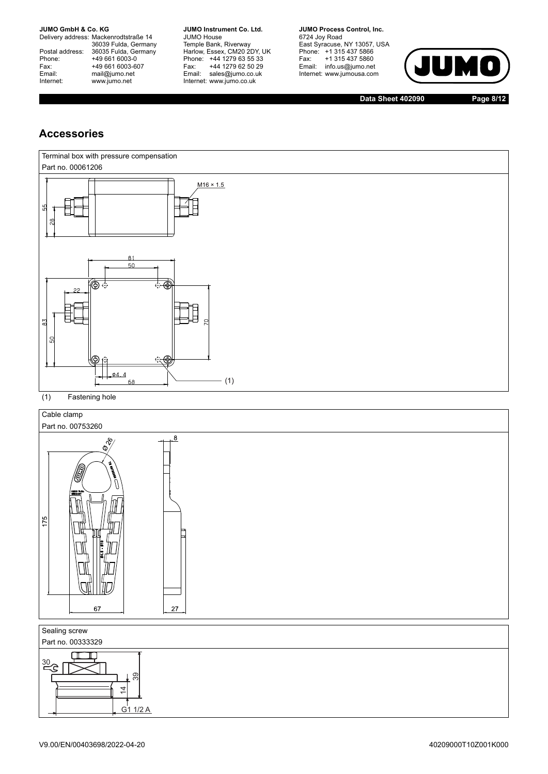Delivery address: Mackenrodtstraße 14 36039 Fulda, Germany Postal address: 36035 Fulda, Germany Postal address: 36035 Fulda, Ge<br>
Phone: +49 661 6003-0<br>
Fax: +49 661 6003-6<br>
Email: mail@jumo.net +49 661 6003-607 mail@jumo.net Internet: www.jumo.net

**JUMO Instrument Co. Ltd.** JUMO House Temple Bank, Riverway Harlow, Essex, CM20 2DY, UK Phone: +44 1279 63 55 33 Fax: +44 1279 62 50 29 Email: sales@jumo.co.uk Internet: www.jumo.co.uk

**JUMO Process Control, Inc.** 6724 Joy Road East Syracuse, NY 13057, USA Phone: +1 315 437 5866 Fax: +1 315 437 5860 Email: info.us@jumo.net

Internet: www.jumousa.com

 $\bigcap$ 

**Data Sheet 402090 Page 8/12**

### **Accessories**

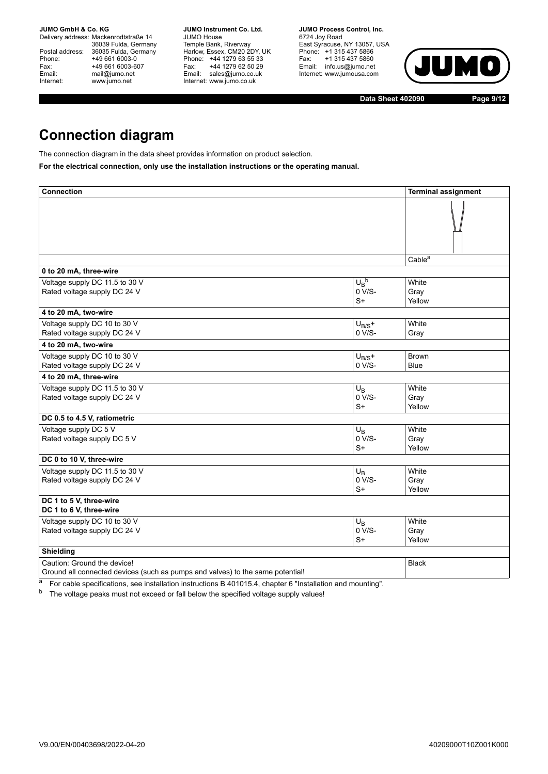Delivery address: Mackenrodtstraße 14 36039 Fulda, Germany Postal address: 36035 Fulda, Germany Postal address: 36035 Fulda, Ge<br>
Phone: +49 661 6003-0<br>
Fax: +49 661 6003-6<br>
Email: mail@jumo.net +49 661 6003-607 mail@jumo.net Internet: www.jumo.net

**JUMO Instrument Co. Ltd.** JUMO House Temple Bank, Riverway Harlow, Essex, CM20 2DY, UK Phone: +44 1279 63 55 33 Fax: +44 1279 62 50 29 Email: sales@jumo.co.uk Internet: www.jumo.co.uk

**JUMO Process Control, Inc.** 6724 Joy Road East Syracuse, NY 13057, USA Phone: +1 315 437 5866 Fax: +1 315 437 5860 Email: info.us@jumo.net Internet: www.jumousa.com



**Data Sheet 402090 Page 9/12**

## **Connection diagram**

The connection diagram in the data sheet provides information on product selection.

**For the electrical connection, only use the installation instructions or the operating manual.**

| <b>Connection</b>                                                                                             |                                 | <b>Terminal assignment</b>  |
|---------------------------------------------------------------------------------------------------------------|---------------------------------|-----------------------------|
|                                                                                                               |                                 |                             |
|                                                                                                               |                                 | Cable <sup>a</sup>          |
| 0 to 20 mA, three-wire                                                                                        |                                 |                             |
| Voltage supply DC 11.5 to 30 V<br>Rated voltage supply DC 24 V                                                | $U_B^b$<br>$0 V/S-$<br>$S+$     | White<br>Gray<br>Yellow     |
| 4 to 20 mA, two-wire                                                                                          |                                 |                             |
| Voltage supply DC 10 to 30 V<br>Rated voltage supply DC 24 V                                                  | $U_{B/S}$ +<br>$0 V/S -$        | White<br>Gray               |
| 4 to 20 mA, two-wire                                                                                          |                                 |                             |
| Voltage supply DC 10 to 30 V<br>Rated voltage supply DC 24 V                                                  | $U_{B/S}$ +<br>$0 V/S-$         | <b>Brown</b><br><b>Blue</b> |
| 4 to 20 mA, three-wire                                                                                        |                                 |                             |
| Voltage supply DC 11.5 to 30 V<br>Rated voltage supply DC 24 V                                                | $U_{\rm B}$<br>$0 V/S-$<br>$S+$ | White<br>Gray<br>Yellow     |
| DC 0.5 to 4.5 V, ratiometric                                                                                  |                                 |                             |
| Voltage supply DC 5 V<br>Rated voltage supply DC 5 V                                                          | $U_B$<br>$0 V/S-$<br>$S+$       | White<br>Gray<br>Yellow     |
| DC 0 to 10 V, three-wire                                                                                      |                                 |                             |
| Voltage supply DC 11.5 to 30 V<br>Rated voltage supply DC 24 V                                                | $U_B$<br>$0 V/S-$<br>$S+$       | White<br>Gray<br>Yellow     |
| DC 1 to 5 V, three-wire<br>DC 1 to 6 V, three-wire                                                            |                                 |                             |
| Voltage supply DC 10 to 30 V<br>Rated voltage supply DC 24 V                                                  | $U_{\rm B}$<br>$0 V/S-$<br>$S+$ | White<br>Gray<br>Yellow     |
| Shielding                                                                                                     |                                 |                             |
| Caution: Ground the device!<br>Ground all connected devices (such as pumps and valves) to the same potential! |                                 | <b>Black</b>                |

<sup>a</sup> For cable specifications, see installation instructions B 401015.4, chapter 6 "Installation and mounting".

<sup>b</sup> The voltage peaks must not exceed or fall below the specified voltage supply values!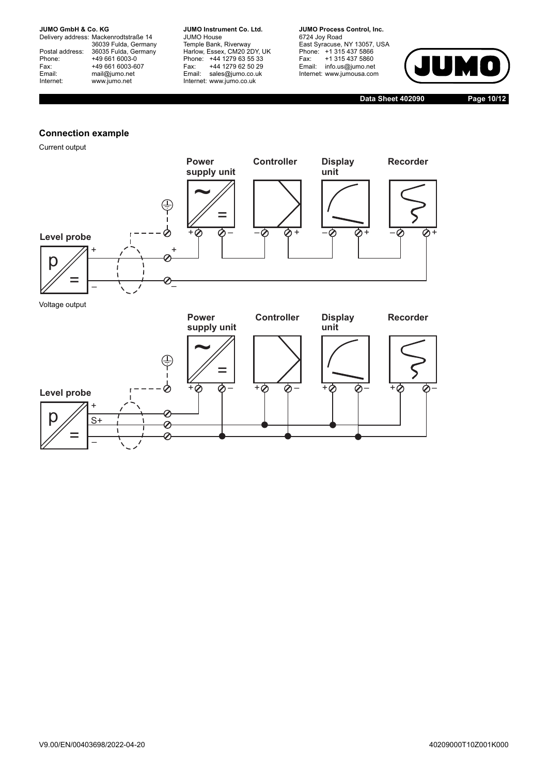Delivery address: Mackenrodtstraße 14 36039 Fulda, Germany Postal address: 36035 Fulda, Germany Postal address: 36035 Fulda, Ge<br>
Phone: +49 661 6003-0<br>
Fax: +49 661 6003-6<br>
Email: mail@jumo.net +49 661 6003-607 mail@jumo.net Internet: www.jumo.net

**JUMO Instrument Co. Ltd.** JUMO House Temple Bank, Riverway Harlow, Essex, CM20 2DY, UK Phone: +44 1279 63 55 33 Fax: +44 1279 62 50 29 Email: sales@jumo.co.uk Internet: www.jumo.co.uk

**JUMO Process Control, Inc.** 6724 Joy Road East Syracuse, NY 13057, USA Phone: +1 315 437 5866 Fax: +1 315 437 5860 Email: info.us@jumo.net Internet: www.jumousa.com

+0 0- +0 0- +0 0-



**Data Sheet 402090 Page 10/12**

#### **Connection example**

Current output

**Level probe**

 $\rho$ 

=

+

 $S+$ 

–



+⊘ ⊘

 $\overline{\mathcal{O}}$ ⊘ 0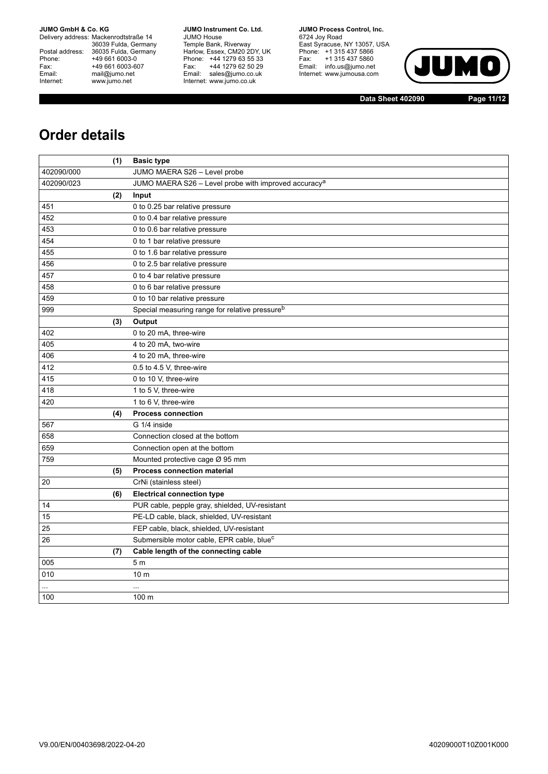Delivery address: Mackenrodtstraße 14 36039 Fulda, Germany Postal address: 36035 Fulda, Germany Phone: +49 661 6003-0<br>
Fax: +49 661 6003-6<br>
Email: mail@jumo.net +49 661 6003-607 mail@jumo.net Internet: www.jumo.net

**JUMO Instrument Co. Ltd.** JUMO House Temple Bank, Riverway Harlow, Essex, CM20 2DY, UK Phone: +44 1279 63 55 33 Fax: +44 1279 62 50 29 Email: sales@jumo.co.uk Internet: www.jumo.co.uk

**JUMO Process Control, Inc.** 6724 Joy Road East Syracuse, NY 13057, USA Phone: +1 315 437 5866 Fax: +1 315 437 5860 Email: info.us@jumo.net Internet: www.jumousa.com



**Data Sheet 402090 Page 11/12**

## **Order details**

|            | (1) | <b>Basic type</b>                                                |
|------------|-----|------------------------------------------------------------------|
| 402090/000 |     | JUMO MAERA S26 - Level probe                                     |
| 402090/023 |     | JUMO MAERA S26 - Level probe with improved accuracy <sup>a</sup> |
|            | (2) | Input                                                            |
| 451        |     | 0 to 0.25 bar relative pressure                                  |
| 452        |     | 0 to 0.4 bar relative pressure                                   |
| 453        |     | 0 to 0.6 bar relative pressure                                   |
| 454        |     | 0 to 1 bar relative pressure                                     |
| 455        |     | 0 to 1.6 bar relative pressure                                   |
| 456        |     | 0 to 2.5 bar relative pressure                                   |
| 457        |     | 0 to 4 bar relative pressure                                     |
| 458        |     | 0 to 6 bar relative pressure                                     |
| 459        |     | 0 to 10 bar relative pressure                                    |
| 999        |     | Special measuring range for relative pressure <sup>b</sup>       |
|            | (3) | Output                                                           |
| 402        |     | 0 to 20 mA, three-wire                                           |
| 405        |     | 4 to 20 mA, two-wire                                             |
| 406        |     | 4 to 20 mA, three-wire                                           |
| 412        |     | 0.5 to 4.5 V, three-wire                                         |
| 415        |     | 0 to 10 V, three-wire                                            |
| 418        |     | 1 to 5 V, three-wire                                             |
| 420        |     | 1 to 6 V, three-wire                                             |
|            | (4) | <b>Process connection</b>                                        |
| 567        |     | G 1/4 inside                                                     |
| 658        |     | Connection closed at the bottom                                  |
| 659        |     | Connection open at the bottom                                    |
| 759        |     | Mounted protective cage Ø 95 mm                                  |
|            | (5) | <b>Process connection material</b>                               |
| 20         |     | CrNi (stainless steel)                                           |
|            | (6) | <b>Electrical connection type</b>                                |
| 14         |     | PUR cable, pepple gray, shielded, UV-resistant                   |
| 15         |     | PE-LD cable, black, shielded, UV-resistant                       |
| 25         |     | FEP cable, black, shielded, UV-resistant                         |
| 26         |     | Submersible motor cable, EPR cable, blue <sup>c</sup>            |
|            | (7) | Cable length of the connecting cable                             |
| 005        |     | 5 <sub>m</sub>                                                   |
| 010        |     | 10 <sub>m</sub>                                                  |
|            |     | $\ddotsc$                                                        |
| 100        |     | 100 m                                                            |